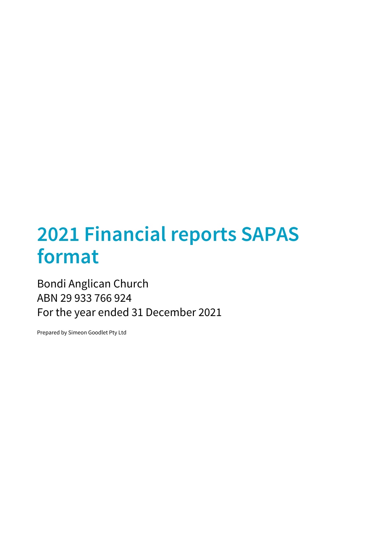# **2021 Financial reports SAPAS format**

## Bondi Anglican Church ABN 29 933 766 924 For the year ended 31 December 2021

Prepared by Simeon Goodlet Pty Ltd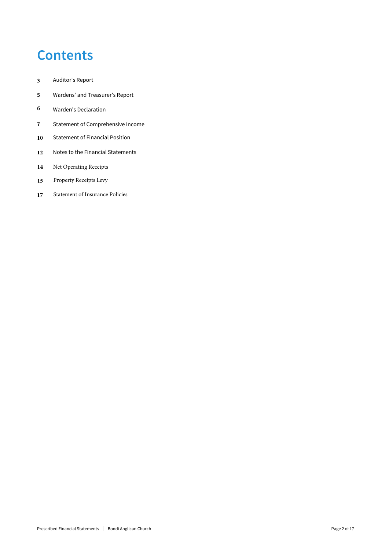## **Contents**

- Auditor's Report
- Wardens' and Treasurer's Report
- Warden's Declaration
- Statement of Comprehensive Income
- Statement of Financial Position
- Notes to the Financial Statements
- Net Operating Receipts
- Property Receipts Levy
- **7** Statement of Insurance Policies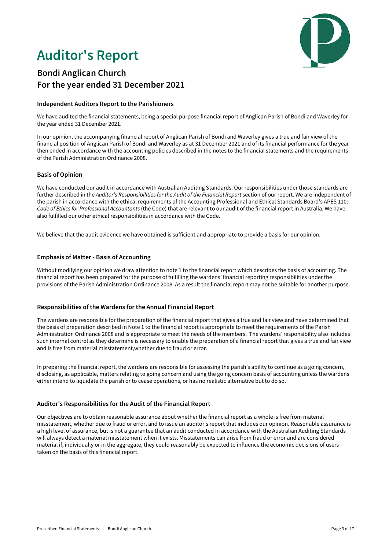## **Auditor's Report**



## **Bondi Anglican Church For the year ended 31 December 2021**

### **Independent Auditors Report to the Parishioners**

We have audited the financial statements, being a special purpose financial report of Anglican Parish of Bondi and Waverley for the year ended 31 December 2021.

In our opinion, the accompanying financial report of Anglican Parish of Bondi and Waverley gives a true and fair view of the financial position of Anglican Parish of Bondi and Waverley as at 31 December 2021 and of its financial performance for the year then ended in accordance with the accounting policies described in the notes to the financial statements and the requirements of the Parish Administration Ordinance 2008.

### **Basis of Opinion**

We have conducted our audit in accordance with Australian Auditing Standards. Our responsibilities under those standards are further described in the *Auditor's Responsibilities for the Audit of the Financial Report* section of our report. We are independent of the parish in accordance with the ethical requirements of the Accounting Professional and Ethical Standards Board's APES 110: *Code of Ethics for Professional Accountants* (the Code) that are relevant to our audit of the financial report in Australia. We have also fulfilled our other ethical responsibilities in accordance with the Code.

We believe that the audit evidence we have obtained is sufficient and appropriate to provide a basis for our opinion.

### **Emphasis of Matter - Basis of Accounting**

Without modifying our opinion we draw attention to note 1 to the financial report which describes the basis of accounting. The financial report has been prepared for the purpose of fulfilling the wardens' financial reporting responsibilities under the provisions of the Parish Administration Ordinance 2008. As a result the financial report may not be suitable for another purpose.

### **Responsibilities of the Wardens for the Annual Financial Report**

The wardens are responsible for the preparation of the financial report that gives a true and fair view,and have determined that the basis of preparation described in Note 1 to the financial report is appropriate to meet the requirements of the Parish Administration Ordinance 2008 and is appropriate to meet the needs of the members. The wardens' responsibility also includes such internal control as they determine is necessary to enable the preparation of a financial report that gives a true and fair view and is free from material misstatement,whether due to fraud or error.

In preparing the financial report, the wardens are responsible for assessing the parish's ability to continue as a going concern, disclosing, as applicable, matters relating to going concern and using the going concern basis of accounting unless the wardens either intend to liquidate the parish or to cease operations, or has no realistic alternative but to do so.

### **Auditor's Responsibilities for the Audit of the Financial Report**

Our objectives are to obtain reasonable assurance about whether the financial report as a whole is free from material misstatement, whether due to fraud or error, and to issue an auditor's report that includes our opinion. Reasonable assurance is a high level of assurance, but is not a guarantee that an audit conducted in accordance with the Australian Auditing Standards will always detect a material misstatement when it exists. Misstatements can arise from fraud or error and are considered material if, individually or in the aggregate, they could reasonably be expected to influence the economic decisions of users taken on the basis of this financial report.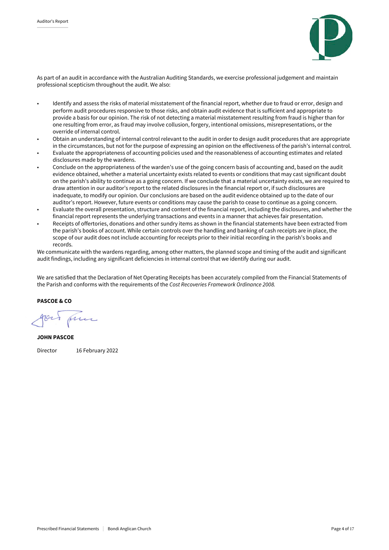

As part of an audit in accordance with the Australian Auditing Standards, we exercise professional judgement and maintain professional scepticism throughout the audit. We also:

- Identify and assess the risks of material misstatement of the financial report, whether due to fraud or error, design and perform audit procedures responsive to those risks, and obtain audit evidence that is sufficient and appropriate to provide a basis for our opinion. The risk of not detecting a material misstatement resulting from fraud is higher than for one resulting from error, as fraud may involve collusion, forgery, intentional omissions, misrepresentations, or the override of internal control.
- Obtain an understanding of internal control relevant to the audit in order to design audit procedures that are appropriate in the circumstances, but not for the purpose of expressing an opinion on the effectiveness of the parish's internal control.
- Evaluate the appropriateness of accounting policies used and the reasonableness of accounting estimates and related disclosures made by the wardens.
- Conclude on the appropriateness of the warden's use of the going concern basis of accounting and, based on the audit evidence obtained, whether a material uncertainty exists related to events or conditions that may cast significant doubt on the parish's ability to continue as a going concern. If we conclude that a material uncertainty exists, we are required to draw attention in our auditor's report to the related disclosures in the financial report or, if such disclosures are inadequate, to modify our opinion. Our conclusions are based on the audit evidence obtained up to the date of our auditor's report. However, future events or conditions may cause the parish to cease to continue as a going concern.
- Evaluate the overall presentation, structure and content of the financial report, including the disclosures, and whether the financial report represents the underlying transactions and events in a manner that achieves fair presentation.
- Receipts of offertories, donations and other sundry items as shown in the financial statements have been extracted from the parish's books of account. While certain controls over the handling and banking of cash receipts are in place, the scope of our audit does not include accounting for receipts prior to their initial recording in the parish's books and records.

We communicate with the wardens regarding, among other matters, the planned scope and timing of the audit and significant audit findings, including any significant deficiencies in internal control that we identify during our audit.

We are satisfied that the Declaration of Net Operating Receipts has been accurately compiled from the Financial Statements of the Parish and conforms with the requirements of the *Cost Recoveries Framework Ordinance 2008.*

PASCOE & CO

JOHN PASCOE Director 16 February 2022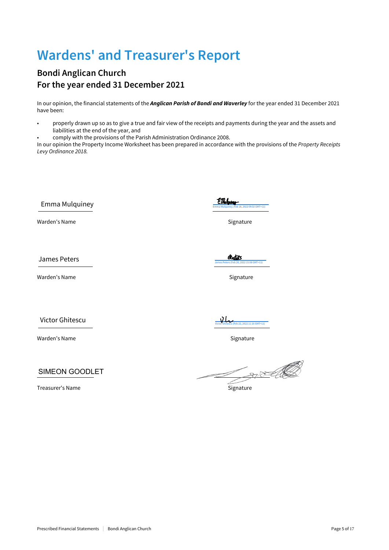## **Wardens' and Treasurer's Report**

## **Bondi Anglican Church For the year ended 31 December 2021**

In our opinion, the financial statements of the *Anglican Parish of Bondi and Waverley* for the year ended 31 December 2021 have been:

• properly drawn up so as to give a true and fair view of the receipts and payments during the year and the assets and liabilities at the end of the year, and

• comply with the provisions of the Parish Administration Ordinance 2008.

In our opinion the Property Income Worksheet has been prepared in accordance with the provisions of the *Property Receipts Levy Ordinance 2018.*

Emma Mulquiney  $\frac{EM}{F_{\text{F}}(R)}$ 

Warden's Name Signature and Signature and Signature Signature

James Peters (Feb 2002 15:08 GMT+11) s Peters (Feb 2022 15:08 GMT+11) s Peters Peters Peters (Feb 2013 15:08 GMT+11) s Peters (Feb 2014 15:08 GMT+11) s Peters (Feb 2014 15:08 GMT+11) s Peters (Feb 2014 15:08 GMT+11) s Pete

Warden's Name Signature

Victor Ghitescu

Warden's Name Signature

SIMEON GOODLET

Treasurer's Name **Signature Signature Signature** 

 $\mathcal{L}$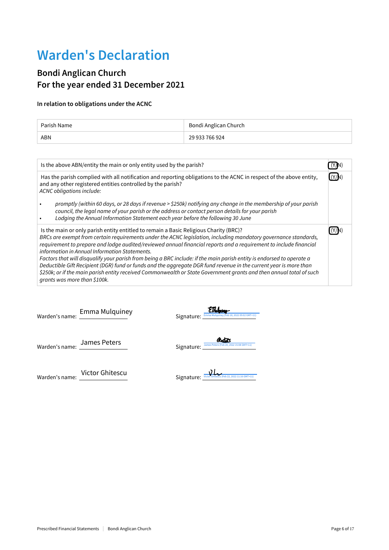## **Warden's Declaration**

## **Bondi Anglican Church For the year ended 31 December 2021**

### **In relation to obligations under the ACNC**

| Parish Name | Bondi Anglican Church |
|-------------|-----------------------|
| <b>ABN</b>  | 29 933 766 924        |

| Is the above ABN/entity the main or only entity used by the parish?                                                                                                                                                                                                                                                                                                                                                                                                                                                                                                                                                                                                                                                                                                                 |  |
|-------------------------------------------------------------------------------------------------------------------------------------------------------------------------------------------------------------------------------------------------------------------------------------------------------------------------------------------------------------------------------------------------------------------------------------------------------------------------------------------------------------------------------------------------------------------------------------------------------------------------------------------------------------------------------------------------------------------------------------------------------------------------------------|--|
| Has the parish complied with all notification and reporting obligations to the ACNC in respect of the above entity,<br>and any other registered entities controlled by the parish?<br>ACNC obligations include:                                                                                                                                                                                                                                                                                                                                                                                                                                                                                                                                                                     |  |
| promptly (within 60 days, or 28 days if revenue > \$250k) notifying any change in the membership of your parish<br>council, the legal name of your parish or the address or contact person details for your parish<br>Lodging the Annual Information Statement each year before the following 30 June                                                                                                                                                                                                                                                                                                                                                                                                                                                                               |  |
| Is the main or only parish entity entitled to remain a Basic Religious Charity (BRC)?<br>BRCs are exempt from certain requirements under the ACNC legislation, including mandatory governance standards,<br>requirement to prepare and lodge audited/reviewed annual financial reports and a requirement to include financial<br>information in Annual Information Statements.<br>Factors that will disqualify your parish from being a BRC include: if the main parish entity is endorsed to operate a<br>Deductible Gift Recipient (DGR) fund or funds and the aggregate DGR fund revenue in the current year is more than<br>\$250k; or if the main parish entity received Commonwealth or State Government grants and then annual total of such<br>grants was more than \$100k. |  |

Warden's name: Emma Mulquiney<br>Warden's name: <u>Call Allen Australian Communiculus (Feb 18, 2022 09:02 GMT+11)</u>

Warden's name: <u>Sames Peters</u> et al. The Signature: Signature: **Sames Peters** (Feb 20, 2022 15:08 GMT+11)

Warden's name: <u>Victor Ghitescu</u> ([Victor Ghitescu \(Feb 22, 2022 11:16 GMT+11\)](https://secure.au1.echosign.com/verifier?tx=CBJCHBCAABAAHNhaPI85jkBr7dJh7ui-S12K2P-Rmn5V)

| سمللا                                                      |
|------------------------------------------------------------|
| C. The Advised Victor Ghitascu (Feb 22, 2022 11:16 GMT+11) |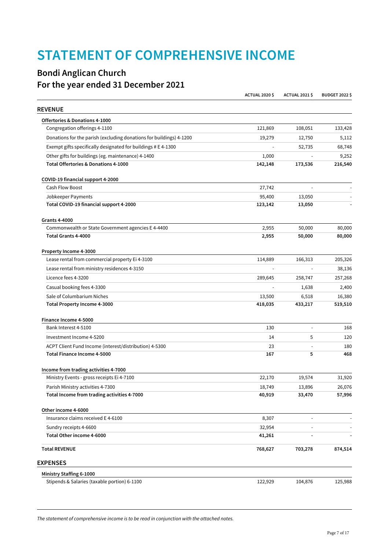## **STATEMENT OF COMPREHENSIVE INCOME**

## **Bondi Anglican Church For the year ended 31 December 2021**

|                                                                     | <b>ACTUAL 2020 \$</b> | <b>ACTUAL 2021 \$</b> | <b>BUDGET 2022 \$</b> |
|---------------------------------------------------------------------|-----------------------|-----------------------|-----------------------|
| <b>REVENUE</b>                                                      |                       |                       |                       |
| Offertories & Donations 4-1000                                      |                       |                       |                       |
| Congregation offerings 4-1100                                       | 121,869               | 108,051               | 133,428               |
| Donations for the parish (excluding donations for buildings) 4-1200 | 19,279                | 12,750                | 5,112                 |
| Exempt gifts specifically designated for buildings # E 4-1300       |                       | 52,735                | 68,748                |
| Other gifts for buildings (eg. maintenance) 4-1400                  | 1,000                 |                       | 9,252                 |
| Total Offertories & Donations 4-1000                                | 142,148               | 173,536               | 216,540               |
| COVID-19 financial support 4-2000                                   |                       |                       |                       |
| Cash Flow Boost                                                     | 27,742                |                       |                       |
| Jobkeeper Payments                                                  | 95,400                | 13,050                |                       |
| Total COVID-19 financial support 4-2000                             | 123,142               | 13,050                |                       |
| <b>Grants 4-4000</b>                                                |                       |                       |                       |
| Commonwealth or State Government agencies E 4-4400                  | 2,955                 | 50,000                | 80,000                |
| Total Grants 4-4000                                                 | 2,955                 | 50,000                | 80,000                |
| Property Income 4-3000                                              |                       |                       |                       |
| Lease rental from commercial property Ei 4-3100                     | 114,889               | 166,313               | 205,326               |
| Lease rental from ministry residences 4-3150                        |                       |                       | 38,136                |
| Licence fees 4-3200                                                 | 289,645               | 258,747               | 257,268               |
| Casual booking fees 4-3300                                          |                       | 1,638                 | 2,400                 |
| Sale of Columbarium Niches                                          | 13,500                | 6,518                 | 16,380                |
| Total Property Income 4-3000                                        | 418,035               | 433,217               | 519,510               |
| Finance Income 4-5000                                               |                       |                       |                       |
| Bank Interest 4-5100                                                | 130                   | $\blacksquare$        | 168                   |
| Investment Income 4-5200                                            | 14                    | 5                     | 120                   |
| ACPT Client Fund Income (interest/distribution) 4-5300              | 23                    |                       | 180                   |
| Total Finance Income 4-5000                                         | 167                   | 5                     | 468                   |
| Income from trading activities 4-7000                               |                       |                       |                       |
| Ministry Events - gross receipts Ei 4-7100                          | 22,170                | 19,574                | 31,920                |
| Parish Ministry activities 4-7300                                   | 18,749                | 13,896                | 26,076                |
| Total Income from trading activities 4-7000                         | 40,919                | 33,470                | 57,996                |
| Other income 4-6000                                                 |                       |                       |                       |
| Insurance claims received E 4-6100                                  | 8,307                 |                       |                       |
| Sundry receipts 4-6600                                              | 32,954                |                       |                       |
| Total Other income 4-6000                                           | 41,261                | $\overline{a}$        |                       |
| <b>Total REVENUE</b>                                                | 768,627               | 703,278               | 874,514               |
| <b>EXPENSES</b>                                                     |                       |                       |                       |
| Ministry Staffing 6-1000                                            |                       |                       |                       |
| Stipends & Salaries (taxable portion) 6-1100                        | 122,929               | 104,876               | 125,988               |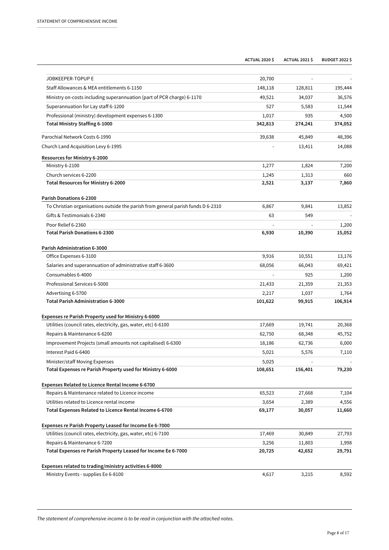|                                                                                  | <b>ACTUAL 2020 \$</b> | <b>ACTUAL 2021 \$</b> | <b>BUDGET 2022 \$</b> |
|----------------------------------------------------------------------------------|-----------------------|-----------------------|-----------------------|
|                                                                                  |                       |                       |                       |
| JOBKEEPER-TOPUP E                                                                | 20,700                |                       |                       |
| Staff Allowances & MEA entitlements 6-1150                                       | 148,118               | 128,811               | 195,444               |
| Ministry on-costs including superannuation (part of PCR charge) 6-1170           | 49,521                | 34,037                | 36,576                |
| Superannuation for Lay staff 6-1200                                              | 527                   | 5,583                 | 11,544                |
| Professional (ministry) development expenses 6-1300                              | 1,017                 | 935                   | 4,500                 |
| Total Ministry Staffing 6-1000                                                   | 342,813               | 274,241               | 374,052               |
| Parochial Network Costs 6-1990                                                   | 39,638                | 45,849                | 48,396                |
| Church Land Acquisition Levy 6-1995                                              |                       | 13,411                | 14,088                |
| Resources for Ministry 6-2000                                                    |                       |                       |                       |
| Ministry 6-2100                                                                  | 1,277                 | 1,824                 | 7,200                 |
| Church services 6-2200                                                           | 1,245                 | 1,313                 | 660                   |
| Total Resources for Ministry 6-2000                                              | 2,521                 | 3,137                 | 7,860                 |
| Parish Donations 6-2300                                                          |                       |                       |                       |
| To Christian organisations outside the parish from general parish funds D 6-2310 | 6,867                 | 9,841                 | 13,852                |
| Gifts & Testimonials 6-2340                                                      | 63                    | 549                   |                       |
| Poor Relief 6-2360                                                               |                       |                       | 1,200                 |
| <b>Total Parish Donations 6-2300</b>                                             | 6,930                 | 10,390                | 15,052                |
| Parish Administration 6-3000                                                     |                       |                       |                       |
| Office Expenses 6-3100                                                           | 9,916                 | 10,551                | 13,176                |
| Salaries and superannuation of administrative staff 6-3600                       | 68,056                | 66,043                | 69,421                |
| Consumables 6-4000                                                               |                       | 925                   | 1,200                 |
| Professional Services 6-5000                                                     | 21,433                | 21,359                | 21,353                |
| Advertising 6-5700                                                               | 2,217                 | 1,037                 | 1,764                 |
| Total Parish Administration 6-3000                                               | 101,622               | 99,915                | 106,914               |
| Expenses re Parish Property used for Ministry 6-6000                             |                       |                       |                       |
| Utilities (council rates, electricity, gas, water, etc) 6-6100                   | 17,669                | 19,741                | 20,368                |
| Repairs & Maintenance 6-6200                                                     | 62,750                | 68,348                | 45,752                |
| Improvement Projects (small amounts not capitalised) 6-6300                      | 18,186                | 62,736                | 6,000                 |
| Interest Paid 6-6400                                                             | 5,021                 | 5,576                 | 7,110                 |
| Minister/staff Moving Expenses                                                   | 5,025                 |                       |                       |
| Total Expenses re Parish Property used for Ministry 6-6000                       | 108,651               | 156,401               | 79,230                |
| Expenses Related to Licence Rental Income 6-6700                                 |                       |                       |                       |
| Repairs & Maintenance related to Licence income                                  | 65,523                | 27,668                | 7,104                 |
| Utilities related to Licence rental income                                       | 3,654                 | 2,389                 | 4,556                 |
| Total Expenses Related to Licence Rental Income 6-6700                           | 69,177                | 30,057                | 11,660                |
|                                                                                  |                       |                       |                       |
| Expenses re Parish Property Leased for Income Ee 6-7000                          |                       |                       |                       |
| Utilities (council rates, electricity, gas, water, etc) 6-7100                   | 17,469                | 30,849                | 27,793                |
| Repairs & Maintenance 6-7200                                                     | 3,256                 | 11,803                | 1,998                 |
| Total Expenses re Parish Property Leased for Income Ee 6-7000                    | 20,725                | 42,652                | 29,791                |
| Expenses related to trading/ministry activities 6-8000                           |                       |                       |                       |
| Ministry Events - supplies Ee 6-8100                                             | 4,617                 | 3,215                 | 8,592                 |

*The statement of comprehensive income is to be read in conjunction with the attached notes.*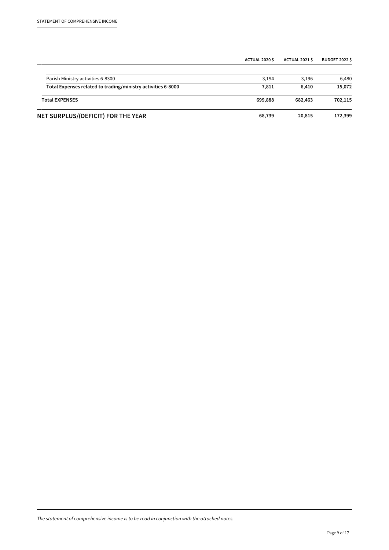|                                                              | <b>ACTUAL 2020 \$</b> | ACTUAL 2021 \$ | <b>BUDGET 2022 \$</b> |
|--------------------------------------------------------------|-----------------------|----------------|-----------------------|
| Parish Ministry activities 6-8300                            | 3.194                 | 3.196          | 6,480                 |
| Total Expenses related to trading/ministry activities 6-8000 | 7,811                 | 6.410          | 15,072                |
| <b>Total EXPENSES</b>                                        | 699,888               | 682,463        | 702,115               |
| NET SURPLUS/(DEFICIT) FOR THE YEAR                           | 68,739                | 20,815         | 172,399               |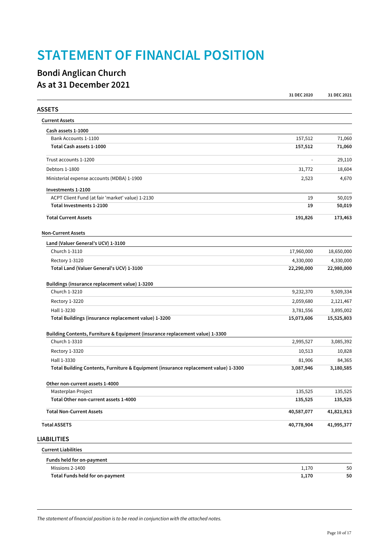## **STATEMENT OF FINANCIAL POSITION**

## **Bondi Anglican Church As at 31 December 2021**

|                                                                                     | 31 DEC 2020 | 31 DEC 2021 |
|-------------------------------------------------------------------------------------|-------------|-------------|
| <b>ASSETS</b>                                                                       |             |             |
| <b>Current Assets</b>                                                               |             |             |
| Cash assets 1-1000                                                                  |             |             |
| Bank Accounts 1-1100                                                                | 157,512     | 71,060      |
| Total Cash assets 1-1000                                                            | 157,512     | 71,060      |
| Trust accounts 1-1200                                                               |             | 29,110      |
| Debtors 1-1800                                                                      | 31,772      | 18,604      |
| Ministerial expense accounts (MDBA) 1-1900                                          | 2,523       | 4,670       |
| Investments 1-2100                                                                  |             |             |
| ACPT Client Fund (at fair 'market' value) 1-2130                                    | 19          | 50,019      |
| Total Investments 1-2100                                                            | 19          | 50,019      |
| <b>Total Current Assets</b>                                                         | 191,826     | 173,463     |
| <b>Non-Current Assets</b>                                                           |             |             |
| Land (Valuer General's UCV) 1-3100                                                  |             |             |
| Church 1-3110                                                                       | 17,960,000  | 18,650,000  |
| Rectory 1-3120                                                                      | 4,330,000   | 4,330,000   |
| Total Land (Valuer General's UCV) 1-3100                                            | 22,290,000  | 22,980,000  |
| Buildings (insurance replacement value) 1-3200                                      |             |             |
| Church 1-3210                                                                       | 9,232,370   | 9,509,334   |
| Rectory 1-3220                                                                      | 2,059,680   | 2,121,467   |
| Hall 1-3230                                                                         | 3,781,556   | 3,895,002   |
| Total Buildings (insurance replacement value) 1-3200                                | 15,073,606  | 15,525,803  |
| Building Contents, Furniture & Equipment (insurance replacement value) 1-3300       |             |             |
| Church 1-3310                                                                       | 2,995,527   | 3,085,392   |
| Rectory 1-3320                                                                      | 10,513      | 10,828      |
| Hall 1-3330                                                                         | 81,906      | 84,365      |
| Total Building Contents, Furniture & Equipment (insurance replacement value) 1-3300 | 3,087,946   | 3,180,585   |
| Other non-current assets 1-4000                                                     |             |             |
| Masterplan Project                                                                  | 135,525     | 135,525     |
| Total Other non-current assets 1-4000                                               | 135,525     | 135,525     |
| <b>Total Non-Current Assets</b>                                                     | 40,587,077  | 41,821,913  |
| <b>Total ASSETS</b>                                                                 | 40,778,904  | 41,995,377  |
| <b>LIABILITIES</b>                                                                  |             |             |
| <b>Current Liabilities</b>                                                          |             |             |
| Funds held for on-payment                                                           |             |             |
| Missions 2-1400                                                                     | 1,170       | 50          |
| Total Funds held for on-payment                                                     | 1,170       | 50          |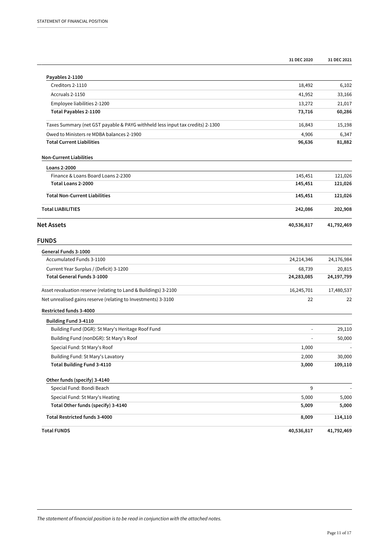|                                                                               | 31 DEC 2020 | 31 DEC 2021 |
|-------------------------------------------------------------------------------|-------------|-------------|
| Payables 2-1100                                                               |             |             |
| Creditors 2-1110                                                              | 18,492      | 6,102       |
| Accruals 2-1150                                                               | 41,952      | 33,166      |
| Employee liabilities 2-1200                                                   | 13,272      | 21,017      |
| <b>Total Payables 2-1100</b>                                                  | 73,716      | 60,286      |
| Taxes Summary (net GST payable & PAYG withheld less input tax credits) 2-1300 | 16,843      | 15,198      |
| Owed to Ministers re MDBA balances 2-1900                                     | 4,906       | 6,347       |
| <b>Total Current Liabilities</b>                                              | 96,636      | 81,882      |
| <b>Non-Current Liabilities</b>                                                |             |             |
| Loans 2-2000                                                                  |             |             |
| Finance & Loans Board Loans 2-2300                                            | 145,451     | 121,026     |
| Total Loans 2-2000                                                            | 145,451     | 121,026     |
| <b>Total Non-Current Liabilities</b>                                          | 145,451     | 121,026     |
| <b>Total LIABILITIES</b>                                                      | 242,086     | 202,908     |
| <b>Net Assets</b>                                                             | 40,536,817  | 41,792,469  |
| <b>FUNDS</b>                                                                  |             |             |
| General Funds 3-1000                                                          |             |             |
| Accumulated Funds 3-1100                                                      | 24,214,346  | 24,176,984  |
| Current Year Surplus / (Deficit) 3-1200                                       | 68,739      | 20,815      |
| <b>Total General Funds 3-1000</b>                                             | 24,283,085  | 24,197,799  |
| Asset revaluation reserve (relating to Land & Buildings) 3-2100               | 16,245,701  | 17,480,537  |
| Net unrealised gains reserve (relating to Investments) 3-3100                 | 22          | 22          |
| Restricted funds 3-4000                                                       |             |             |
| Building Fund 3-4110                                                          |             |             |
| Building Fund (DGR): St Mary's Heritage Roof Fund                             |             | 29,110      |
| Building Fund (nonDGR): St Mary's Roof                                        |             | 50,000      |
| Special Fund: St Mary's Roof                                                  | 1,000       |             |
| Building Fund: St Mary's Lavatory                                             | 2,000       | 30,000      |
| <b>Total Building Fund 3-4110</b>                                             | 3,000       | 109,110     |
| Other funds (specify) 3-4140                                                  |             |             |
| Special Fund: Bondi Beach                                                     | 9           |             |
| Special Fund: St Mary's Heating                                               | 5,000       | 5,000       |
| Total Other funds (specify) 3-4140                                            | 5,009       | 5,000       |
| <b>Total Restricted funds 3-4000</b>                                          | 8,009       | 114,110     |
| <b>Total FUNDS</b>                                                            | 40,536,817  | 41,792,469  |

*The statement of financial position is to be read in conjunction with the attached notes.*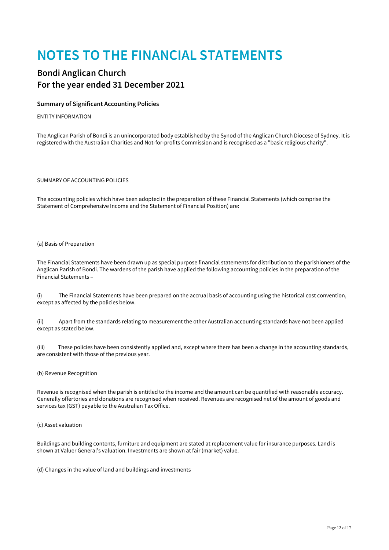## **NOTES TO THE FINANCIAL STATEMENTS**

## **Bondi Anglican Church For the year ended 31 December 2021**

### **Summary of Significant Accounting Policies**

#### ENTITY INFORMATION

The Anglican Parish of Bondi is an unincorporated body established by the Synod of the Anglican Church Diocese of Sydney. It is registered with the Australian Charities and Not-for-profits Commission and is recognised as a "basic religious charity".

SUMMARY OF ACCOUNTING POLICIES

The accounting policies which have been adopted in the preparation of these Financial Statements (which comprise the Statement of Comprehensive Income and the Statement of Financial Position) are:

#### (a) Basis of Preparation

The Financial Statements have been drawn up as special purpose financial statements for distribution to the parishioners of the Anglican Parish of Bondi. The wardens of the parish have applied the following accounting policies in the preparation of the Financial Statements –

(i) The Financial Statements have been prepared on the accrual basis of accounting using the historical cost convention, except as affected by the policies below.

(ii) Apart from the standards relating to measurement the other Australian accounting standards have not been applied except as stated below.

(iii) These policies have been consistently applied and, except where there has been a change in the accounting standards, are consistent with those of the previous year.

(b) Revenue Recognition

Revenue is recognised when the parish is entitled to the income and the amount can be quantified with reasonable accuracy. Generally offertories and donations are recognised when received. Revenues are recognised net of the amount of goods and services tax (GST) payable to the Australian Tax Office.

#### (c) Asset valuation

Buildings and building contents, furniture and equipment are stated at replacement value for insurance purposes. Land is shown at Valuer General's valuation. Investments are shown at fair (market) value.

(d) Changes in the value of land and buildings and investments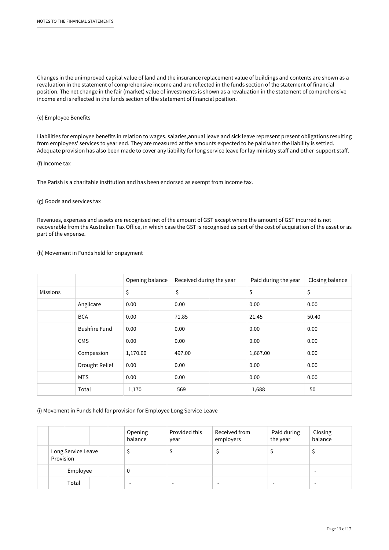Changes in the unimproved capital value of land and the insurance replacement value of buildings and contents are shown as a revaluation in the statement of comprehensive income and are reflected in the funds section of the statement of financial position. The net change in the fair (market) value of investments is shown as a revaluation in the statement of comprehensive income and is reflected in the funds section of the statement of financial position.

### (e) Employee Benefits

Liabilities for employee benefits in relation to wages, salaries,annual leave and sick leave represent present obligations resulting from employees' services to year end. They are measured at the amounts expected to be paid when the liability is settled. Adequate provision has also been made to cover any liability for long service leave for lay ministry staff and other support staff.

### (f) Income tax

The Parish is a charitable institution and has been endorsed as exempt from income tax.

#### (g) Goods and services tax

Revenues, expenses and assets are recognised net of the amount of GST except where the amount of GST incurred is not recoverable from the Australian Tax Office, in which case the GST is recognised as part of the cost of acquisition of the asset or as part of the expense.

#### (h) Movement in Funds held for onpayment

|                 |                      | Opening balance | Received during the year | Paid during the year | Closing balance |
|-----------------|----------------------|-----------------|--------------------------|----------------------|-----------------|
| <b>Missions</b> |                      | \$              | \$                       | \$                   | \$              |
|                 | Anglicare            | 0.00            | 0.00                     | 0.00                 | 0.00            |
|                 | <b>BCA</b>           | 0.00            | 71.85                    | 21.45                | 50.40           |
|                 | <b>Bushfire Fund</b> | 0.00            | 0.00                     | 0.00                 | 0.00            |
|                 | <b>CMS</b>           | 0.00            | 0.00                     | 0.00                 | 0.00            |
|                 | Compassion           | 1,170.00        | 497.00                   | 1,667.00             | 0.00            |
|                 | Drought Relief       | 0.00            | 0.00                     | 0.00                 | 0.00            |
|                 | <b>MTS</b>           | 0.00            | 0.00                     | 0.00                 | 0.00            |
|                 | Total                | 1,170           | 569                      | 1,688                | 50              |

### (i) Movement in Funds held for provision for Employee Long Service Leave

|                                 |          | Opening<br>balance | Provided this<br>year | Received from<br>employers | Paid during<br>the year | Closing<br>balance |
|---------------------------------|----------|--------------------|-----------------------|----------------------------|-------------------------|--------------------|
| Long Service Leave<br>Provision |          |                    |                       |                            |                         |                    |
|                                 | Employee | 0                  |                       |                            |                         |                    |
|                                 | Total    |                    | -                     |                            |                         |                    |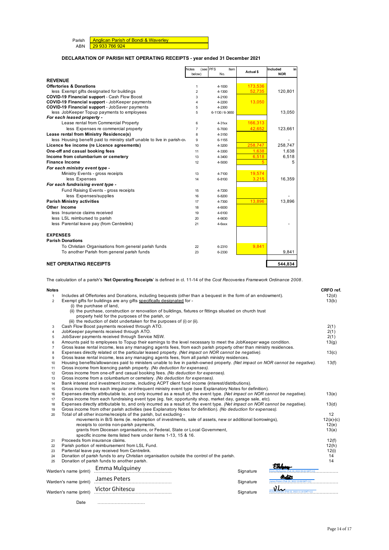| Parish   Anglican Parish of Bondi & Waverley |
|----------------------------------------------|
| ABN 29 933 766 924                           |

### **DECLARATION OF PARISH NET OPERATING RECEIPTS - year ended 31 December 2021**

|                                                                         | <b>Notes</b>   | (see PFS<br>Item | Actual \$ | Included<br>in |
|-------------------------------------------------------------------------|----------------|------------------|-----------|----------------|
|                                                                         | below)         | No.              |           | <b>NOR</b>     |
| <b>REVENUE</b>                                                          |                |                  |           |                |
| <b>Offertories &amp; Donations</b>                                      | 1              | 4-1000           | 173.536   |                |
| less Exempt gifts designated for buildings                              | $\overline{2}$ | 4-1300           | 52,735    | 120,801        |
| <b>COVID-19 Financial support - Cash Flow Boost</b>                     | 3              | 4-2100           |           |                |
| <b>COVID-19 Financial support - JobKeeper payments</b>                  | 4              | 4-2200           | 13,050    |                |
| <b>COVID-19 Financial support - JobSaver payments</b>                   | 5              | 4-2300           |           |                |
| less JobKeeper Topup payments to employees                              | 5              | 6-1130/6-3650    |           | 13,050         |
| For each leased property -                                              |                |                  |           |                |
| Lease rental from Commercial Property                                   | 6              | $4-31xx$         | 166.313   |                |
| less Expenses re commercial property                                    | $\overline{7}$ | 6-7000           | 42,652    | 123,661        |
| Lease rental from Ministry Residence(s)                                 | 8              | 4-3150           |           |                |
| less Housing benefit paid to ministry staff unable to live in parish-ov | 9              | 6-1155           |           |                |
| Licence fee income (re Licence agreements)                              | 10             | 4-3200           | 258.747   | 258,747        |
| One-off and casual booking fees                                         | 11             | 4-3300           | 1.638     | 1,638          |
| Income from columbarium or cemetery                                     | 13             | 4-3400           | 6,518     | 6,518          |
| <b>Finance Income</b>                                                   | 12             | 4-5000           |           | 5              |
| For each ministry event type -                                          |                |                  |           |                |
| Ministry Events - gross receipts                                        | 13             | 4-7100           | 19,574    |                |
| less Expenses                                                           | 14             | 6-8100           | 3,215     | 16,359         |
| For each fundraising event type -                                       |                |                  |           |                |
| Fund Raising Events - gross receipts                                    | 15             | 4-7200           |           |                |
| less Expenses/supplies                                                  | 16             | 6-8200           |           |                |
| <b>Parish Ministry activities</b>                                       | 17             | 4-7300           | 13.896    | 13,896         |
| Other Income                                                            | 18             | 4-6000           |           |                |
| less Insurance claims received                                          | 19             | 4-6100           |           |                |
| less LSL reimbursed to parish                                           | 20             | 4-6630           |           |                |
| less Parental leave pay (from Centrelink)                               | 21             | $4-6$ $xxx$      |           |                |
| <b>EXPENSES</b>                                                         |                |                  |           |                |
| <b>Parish Donations</b>                                                 |                |                  |           |                |
| To Christian Organisations from general parish funds                    | 22             | 6-2310           | 9,841     |                |
| To another Parish from general parish funds                             | 23             | 6-2330           |           | 9,841          |
| <b>NET OPERATING RECEIPTS</b>                                           |                |                  |           | 544.834        |

The calculation of a parish's '**Net Operating Receipts**' is defined in cl. 11-14 of the *Cost Recoveries Framework Ordinance 2008* .

| <b>Notes</b>   |                                                                                                                              |                                                                                                       |                                                                                                                                |  |           |                            | CRFO ref. |  |
|----------------|------------------------------------------------------------------------------------------------------------------------------|-------------------------------------------------------------------------------------------------------|--------------------------------------------------------------------------------------------------------------------------------|--|-----------|----------------------------|-----------|--|
| $\mathbf{1}$   |                                                                                                                              |                                                                                                       | Includes all Offertories and Donations, including bequests (other than a bequest in the form of an endowment).                 |  |           |                            | 12(d)     |  |
| $\overline{c}$ |                                                                                                                              | Exempt gifts for buildings are any gifts specifically designated for -                                |                                                                                                                                |  |           |                            | 13(b)     |  |
|                |                                                                                                                              | (i) the purchase of land,                                                                             |                                                                                                                                |  |           |                            |           |  |
|                |                                                                                                                              |                                                                                                       | (ii) the purchase, construction or renovation of buildings, fixtures or fittings situated on church trust                      |  |           |                            |           |  |
|                |                                                                                                                              | property held for the purposes of the parish, or                                                      |                                                                                                                                |  |           |                            |           |  |
|                |                                                                                                                              |                                                                                                       | (iii) the reduction of debt undertaken for the purposes of (i) or (ii).                                                        |  |           |                            |           |  |
| 3              |                                                                                                                              | Cash Flow Boost payments received through ATO.                                                        |                                                                                                                                |  |           |                            | 2(1)      |  |
| $\overline{4}$ |                                                                                                                              | JobKeeper payments received through ATO.                                                              |                                                                                                                                |  |           |                            | 2(1)      |  |
| 5              |                                                                                                                              | JobSaver payments received through Service NSW.                                                       |                                                                                                                                |  |           |                            |           |  |
| 6              |                                                                                                                              |                                                                                                       | Amounts paid to employees to Topup their earnings to the level necessary to meet the JobKeeper wage condition.                 |  |           |                            | 13(g)     |  |
| $\overline{7}$ |                                                                                                                              |                                                                                                       | Gross lease rental income, less any managing agents fees, from each parish property other than ministry residences.            |  |           |                            |           |  |
| 8              |                                                                                                                              |                                                                                                       | Expenses directly related ot the particular leased property. (Net impact on NOR cannot be negative).                           |  |           |                            | 13(c)     |  |
| 9              |                                                                                                                              |                                                                                                       | Gross lease rental income, less any managing agents fees, from all parish ministry residences.                                 |  |           |                            |           |  |
| 10             |                                                                                                                              |                                                                                                       | Housing benefits/allowances paid to ministers unable to live in parish-owned property. (Net impact on NOR cannot be negative). |  |           |                            | 13(f)     |  |
| 11             |                                                                                                                              |                                                                                                       | Gross income from licencing parish property. (No deduction for expenses).                                                      |  |           |                            |           |  |
| 12             |                                                                                                                              |                                                                                                       | Gross income from one-off and casual booking fees. (No deduction for expenses).                                                |  |           |                            |           |  |
| 13             |                                                                                                                              |                                                                                                       | Gross income from a columbarium or cemetery. (No deduction for expenses).                                                      |  |           |                            |           |  |
| 14             |                                                                                                                              |                                                                                                       | Bank interest and investment income, including ACPT client fund income (interest/distributions).                               |  |           |                            |           |  |
| 15             |                                                                                                                              |                                                                                                       | Gross income from each irregular or infrequent ministry event type (see Explanatory Notes for definition).                     |  |           |                            |           |  |
| 16             | Expenses directly attributable to, and only incurred as a result of, the event type. (Net impact on NOR cannot be negative). |                                                                                                       |                                                                                                                                |  |           |                            | 13(e)     |  |
| 17             |                                                                                                                              |                                                                                                       | Gross income from each fundraising event type (eq. fair, opportunity shop, market day, garage sale, etc).                      |  |           |                            |           |  |
| 18             |                                                                                                                              |                                                                                                       | Expenses directly attributable to, and only incurred as a result of, the event type. (Net impact on NOR cannot be negative).   |  |           |                            | 13(d)     |  |
| 19             |                                                                                                                              |                                                                                                       | Gross income from other parish activities (see Explanatory Notes for definition). (No deduction for expenses).                 |  |           |                            | 12        |  |
| 20             |                                                                                                                              | Total of all other income/receipts of the parish, but excluding -                                     |                                                                                                                                |  |           |                            |           |  |
|                |                                                                                                                              | movements in B/S items (ie. redemption of investments, sale of assets, new or additional borrowings), |                                                                                                                                |  |           |                            |           |  |
|                |                                                                                                                              | receipts to contra non-parish payments,                                                               |                                                                                                                                |  |           |                            | 12(e)     |  |
|                |                                                                                                                              |                                                                                                       | grants from Diocesan organisations, or Federal, State or Local Government,                                                     |  |           |                            | 13(a)     |  |
|                |                                                                                                                              | specific income items listed here under items 1-13, 15 & 16.                                          |                                                                                                                                |  |           |                            |           |  |
| 21             |                                                                                                                              | Proceeds from insurance claims.                                                                       |                                                                                                                                |  |           |                            | 12(f)     |  |
| 22             |                                                                                                                              | Parish portion of reimbursement from LSL Fund.                                                        |                                                                                                                                |  |           |                            | 12(h)     |  |
| 23             |                                                                                                                              | Partental leave pay received from Centrelink.                                                         |                                                                                                                                |  |           |                            | 12(i)     |  |
| 24             |                                                                                                                              |                                                                                                       | Donation of parish funds to any Christian organisation outside the control of the parish.                                      |  |           |                            | 14        |  |
| 25             |                                                                                                                              | Donation of parish funds to another parish.                                                           |                                                                                                                                |  |           |                            | 14        |  |
|                |                                                                                                                              | Emma Mulquiney                                                                                        |                                                                                                                                |  |           |                            |           |  |
|                | Warden's name (print)                                                                                                        |                                                                                                       |                                                                                                                                |  | Signature |                            |           |  |
|                |                                                                                                                              | James Peters                                                                                          |                                                                                                                                |  |           | astas                      |           |  |
|                | Warden's name (print)                                                                                                        |                                                                                                       |                                                                                                                                |  | Signature | Feb 20, 2022 15:08 GMT+11) |           |  |
|                |                                                                                                                              | Victor Ghitescu                                                                                       |                                                                                                                                |  |           | 2022 11:16 GMT+11)         |           |  |
|                | Warden's name (print)                                                                                                        |                                                                                                       |                                                                                                                                |  | Signature |                            |           |  |
|                |                                                                                                                              |                                                                                                       |                                                                                                                                |  |           |                            |           |  |

Date ……………………………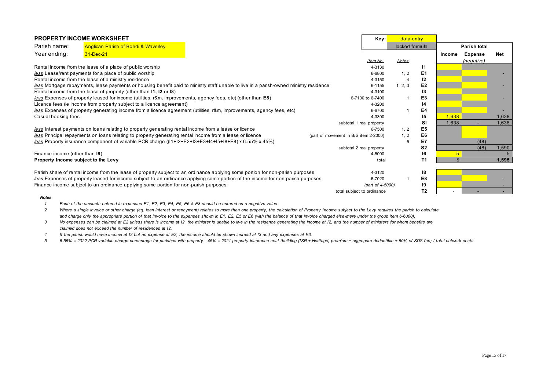| <b>PROPERTY INCOME WORKSHEET</b>                                                                                                |                                                                                                                                        |                                       |                  | Key: <mark>l</mark><br>data entry |                |                     |                |            |
|---------------------------------------------------------------------------------------------------------------------------------|----------------------------------------------------------------------------------------------------------------------------------------|---------------------------------------|------------------|-----------------------------------|----------------|---------------------|----------------|------------|
| Parish name:                                                                                                                    | <b>Anglican Parish of Bondi &amp; Waverley</b>                                                                                         |                                       |                  | locked formula                    |                | <b>Parish total</b> |                |            |
| Year ending:                                                                                                                    | 31-Dec-21                                                                                                                              |                                       |                  |                                   |                | Income              | <b>Expense</b> | <b>Net</b> |
|                                                                                                                                 |                                                                                                                                        |                                       | Item No.         | <b>Notes</b>                      |                |                     | (negative)     |            |
|                                                                                                                                 | Rental income from the lease of a place of public worship                                                                              |                                       | 4-3130           |                                   |                |                     |                |            |
|                                                                                                                                 | less Lease/rent payments for a place of public worship                                                                                 |                                       | 6-6800           | 1, 2                              | E <sub>1</sub> |                     |                |            |
|                                                                                                                                 | Rental income from the lease of a ministry residence                                                                                   |                                       | 4-3150           |                                   | 12             |                     |                |            |
|                                                                                                                                 | less Mortgage repayments, lease payments or housing benefit paid to ministry staff unable to live in a parish-owned ministry residence |                                       | 6-1155           | 1, 2, 3                           | E <sub>2</sub> |                     |                |            |
|                                                                                                                                 | Rental income from the lease of property (other than 11, 12 or 18)                                                                     |                                       | 4-3100           |                                   | 13             |                     |                |            |
|                                                                                                                                 | less Expenses of property leased for income (utilities, r&m, improvements, agency fees, etc) (other than E8)                           |                                       | 6-7100 to 6-7400 |                                   | E3             |                     |                |            |
|                                                                                                                                 | Licence fees (ie income from property subject to a licence agreement)                                                                  |                                       | 4-3200           |                                   | 14             |                     |                |            |
| less Expenses of property generating income from a licence agreement (utilities, r&m, improvements, agency fees, etc)           |                                                                                                                                        |                                       | 6-6700           |                                   | E4             |                     |                |            |
| Casual booking fees                                                                                                             |                                                                                                                                        |                                       | 4-3300           |                                   | 15             | 1,638               |                | 1,638      |
|                                                                                                                                 |                                                                                                                                        | subtotal 1 real property              |                  |                                   | SI             | 1.638               |                | 1,638      |
|                                                                                                                                 | less Interest payments on loans relating to property generating rental income from a lease or licence                                  |                                       | 6-7500           | 1, 2                              | E5             |                     |                |            |
| less Principal repayments on loans relating to property generating rental income from a lease or licence                        |                                                                                                                                        | (part of movement in B/S item 2-2000) |                  | 1.2                               | E6             |                     |                |            |
|                                                                                                                                 | less Property insurance component of variable PCR charge ((11+12+E2+13+E3+14+15+18+E8) x 6.55% x 45%)                                  |                                       |                  | 5                                 | E7             |                     | (48)           |            |
|                                                                                                                                 |                                                                                                                                        | subtotal 2 real property              |                  |                                   | S <sub>2</sub> |                     | (48)           | 1,590      |
| Finance income (other than 19)                                                                                                  |                                                                                                                                        |                                       | 4-5000           |                                   | 16             | $5\overline{)}$     |                |            |
| Property Income subject to the Levy                                                                                             |                                                                                                                                        |                                       | total            |                                   | Т1             | 5                   |                | 1,595      |
|                                                                                                                                 | Parish share of rental income from the lease of property subject to an ordinance applying some portion for non-parish purposes         |                                       | 4-3120           |                                   | 18             |                     |                |            |
| less Expenses of property leased for income subject to an ordinance applying some portion of the income for non-parish purposes |                                                                                                                                        |                                       | 6-7020           |                                   | E8             |                     |                |            |
|                                                                                                                                 | Finance income subject to an ordinance applying some portion for non-parish purposes                                                   |                                       | (part of 4-5000) |                                   | 19             |                     |                |            |
|                                                                                                                                 |                                                                                                                                        | total subject to ordinance            |                  |                                   | T2             |                     |                |            |
| <b>Notes</b>                                                                                                                    |                                                                                                                                        |                                       |                  |                                   |                |                     |                |            |

*1 Each of the amounts entered in expenses E1, E2, E3, E4, E5, E6 & E8 should be entered as a negative value.*

*2 Where a single invoice or other charge (eg. loan interest or repayment) relates to more than one property, the calculation of Property Income subject to the Levy requires the parish to calculate* and charge only the appropriate portion of that invoice to the expenses shown in E1, E2, E5 or E6 (with the balance of that invoice charged elsewhere under the group item 6-6000).

*3 No expenses can be claimed at E2 unless there is income at I2, the minister is unable to live in the residence generating the income at I2, and the number of ministers for whom benefits are claimed does not exceed the number of residences at I2.*

*4 If the parish would have income at I2 but no expense at E2, the income should be shown instead at I3 and any expenses at E3.*

*5 6.55% = 2022 PCR variable charge percentage for parishes with property. 45% = 2021 property insurance cost (building (ISR + Heritage) premium + aggregate deductible + 50% of SDS fee) / total network costs.*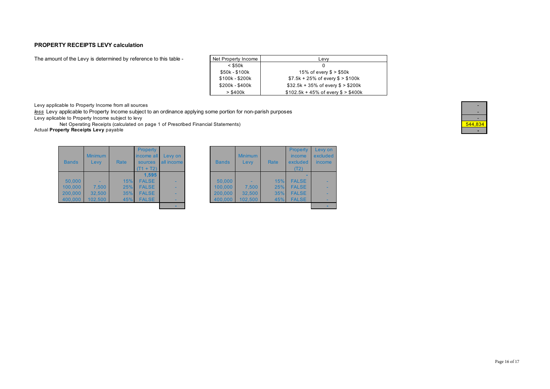### **PROPERTY RECEIPTS LEVY calculation**

The amount of the Levy is determined by reference to this table -

| Net Property Income | Levy                                  |
|---------------------|---------------------------------------|
| $<$ \$50 $k$        | 0                                     |
| \$50k - \$100k      | 15% of every $$ > $50k$               |
| \$100k - \$200k     | $$7.5k + 25\%$ of every $$> $100k$    |
| \$200k - \$400k     | $$32.5k + 35\%$ of every $$> $200k$   |
| > \$400k            | $$102.5k + 45\%$ of every $$ > $400k$ |

Levy applicable to Property Income from all sources

*less* Levy applicable to Property Income subject to an ordinance applying some portion for non-parish purposes - Levy aplicable to Property Income subject to levy<br>
Net Operating Receipts (calculated on page 1 of Prescribed Financial Statements)<br>
1944,834

Net Operating Receipts (calculated on page 1 of Prescribed Financial Statements)

**Actual Property Receipts Levy** payable

| <b>Bands</b> | <b>Minimum</b><br>Levy | Rate | Property<br>income all<br>sources<br>$(T1 + T2)$ | Levy on<br><b>all income</b> | <b>Bands</b> | <b>Minimum</b><br>Levy | Rate | <b>Property</b><br>income<br>excluded<br>(T2) | Levy o<br>exclud<br>incom |
|--------------|------------------------|------|--------------------------------------------------|------------------------------|--------------|------------------------|------|-----------------------------------------------|---------------------------|
|              |                        |      | 1.595                                            |                              |              |                        |      |                                               |                           |
| 50.000       |                        | 15%  | <b>FALSE</b>                                     |                              | 50,000       |                        | 15%  | <b>FALSE</b>                                  |                           |
| 100.000      | 7.500                  | 25%  | <b>FALSE</b>                                     | -                            | 100.000      | 7.500                  | 25%  | <b>FALSE</b>                                  |                           |
| 200,000      | 32.500                 | 35%  | <b>FALSE</b>                                     | -                            | 200.000      | 32,500                 | 35%  | <b>FALSE</b>                                  |                           |
| 400,000      | 102.500                | 45%  | <b>FALSE</b>                                     |                              | 400.000      | 102.500                | 45%  | <b>FALSE</b>                                  |                           |
|              |                        |      |                                                  |                              |              |                        |      |                                               |                           |

| <b>Property</b><br>ncome all<br>sources<br>$(T1 + T2)$ | Levy on<br>all income | <b>Bands</b> | <b>Minimum</b><br>Levy | Rate | <b>Property</b><br>income<br>excluded<br>(T2) | Levy on<br>excluded<br>income |
|--------------------------------------------------------|-----------------------|--------------|------------------------|------|-----------------------------------------------|-------------------------------|
| 1.595                                                  |                       |              |                        |      |                                               |                               |
| <b>FALSE</b>                                           |                       | 50.000       |                        | 15%  | <b>FALSE</b>                                  |                               |
| <b>FALSE</b>                                           |                       | 100,000      | 7,500                  | 25%  | <b>FALSE</b>                                  |                               |
| <b>FALSE</b>                                           | -                     | 200,000      | 32,500                 | 35%  | <b>FALSE</b>                                  |                               |
| <b>FALSE</b>                                           |                       | 400,000      | 102.500                | 45%  | <b>FALSE</b>                                  |                               |
|                                                        |                       |              |                        |      |                                               |                               |

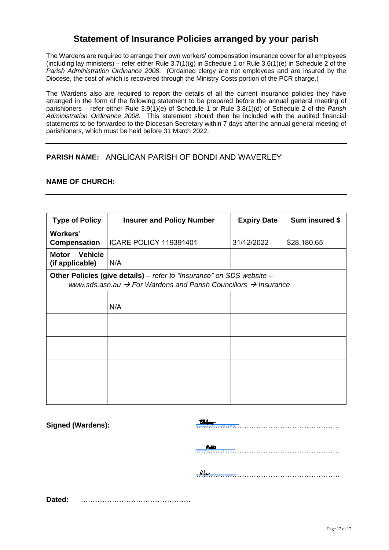## **Statement of Insurance Policies arranged by your parish**

The Wardens are required to arrange their own workers' compensation insurance cover for all employees (including lay ministers) – refer either Rule  $3.7(1)(g)$  in Schedule 1 or Rule  $3.6(1)(e)$  in Schedule 2 of the *Parish Administration Ordinance 2008*. (Ordained clergy are not employees and are insured by the Diocese, the cost of which is recovered through the Ministry Costs portion of the PCR charge.)

The Wardens also are required to report the details of all the current insurance policies they have arranged in the form of the following statement to be prepared before the annual general meeting of parishioners – refer either Rule 3.9(1)(e) of Schedule 1 or Rule 3.8(1)(d) of Schedule 2 of the *Parish Administration Ordinance 2008*. This statement should then be included with the audited financial statements to be forwarded to the Diocesan Secretary within 7 days after the annual general meeting of parishioners, which must be held before 31 March 2022.

## **PARISH NAME:** ANGLICAN PARISH OF BONDI AND WAVERLEY

### **NAME OF CHURCH:**

| <b>Type of Policy</b>                                                                                                                                            | <b>Insurer and Policy Number</b> | <b>Expiry Date</b> | Sum insured \$ |  |  |  |  |  |  |
|------------------------------------------------------------------------------------------------------------------------------------------------------------------|----------------------------------|--------------------|----------------|--|--|--|--|--|--|
| Workers'<br>Compensation                                                                                                                                         | <b>ICARE POLICY 119391401</b>    | 31/12/2022         | \$28,180.65    |  |  |  |  |  |  |
| <b>Vehicle</b><br>Motor<br>(if applicable)                                                                                                                       | N/A                              |                    |                |  |  |  |  |  |  |
| Other Policies (give details) – refer to "Insurance" on SDS website –<br>www.sds.asn.au $\rightarrow$ For Wardens and Parish Councillors $\rightarrow$ Insurance |                                  |                    |                |  |  |  |  |  |  |
|                                                                                                                                                                  | N/A                              |                    |                |  |  |  |  |  |  |
|                                                                                                                                                                  |                                  |                    |                |  |  |  |  |  |  |
|                                                                                                                                                                  |                                  |                    |                |  |  |  |  |  |  |
|                                                                                                                                                                  |                                  |                    |                |  |  |  |  |  |  |
|                                                                                                                                                                  |                                  |                    |                |  |  |  |  |  |  |

**Signed (Wardens):** [……………………………………………………](https://au1.documents.adobe.com/verifier?tx=CBJCHBCAABAAHNhaPI85jkBr7dJh7ui-S12K2P-Rmn5V) Emma Mulquiney (Feb 18, 2022 09:02 GMT+11)

[……………………………………………………](https://au1.documents.adobe.com/verifier?tx=CBJCHBCAABAAHNhaPI85jkBr7dJh7ui-S12K2P-Rmn5V) James Peters (Feb 20, 2022 15:08 GMT+11)

www.communication.com/witch/witch/witch/witch/witch/witch/witch/witch/witch/witch/witch/witch/witch/witch/witch<br>Witchfelt@distributch/witch/witch/witch/witch/witch/witch/witch/witch/witch/witch/witch/witch/witch/witch/witc

**Dated:** ……………………………………….